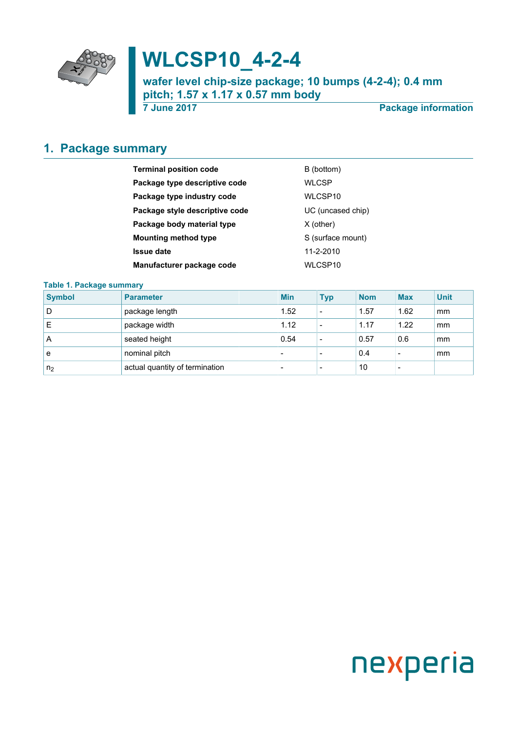

# **WLCSP10\_4-2-4**

**wafer level chip-size package; 10 bumps (4-2-4); 0.4 mm pitch; 1.57 x 1.17 x 0.57 mm body**

**7 June 2017 Package information**

### <span id="page-0-0"></span>**1. Package summary**

| <b>Terminal position code</b>  | B (bottom)        |
|--------------------------------|-------------------|
| Package type descriptive code  | <b>WLCSP</b>      |
| Package type industry code     | WLCSP10           |
| Package style descriptive code | UC (uncased chip) |
| Package body material type     | $X$ (other)       |
| <b>Mounting method type</b>    | S (surface mount) |
| <b>Issue date</b>              | 11-2-2010         |
| Manufacturer package code      | WLCSP10           |

#### **Table 1. Package summary**

| <b>Symbol</b>  | <b>Parameter</b>               | <b>Min</b>               | <b>Typ</b>               | <b>Nom</b> | <b>Max</b>               | <b>Unit</b> |
|----------------|--------------------------------|--------------------------|--------------------------|------------|--------------------------|-------------|
| D              | package length                 | 1.52                     | $\overline{\phantom{a}}$ | 1.57       | 1.62                     | mm          |
| E              | package width                  | 1.12                     | $\overline{\phantom{a}}$ | 1.17       | 1.22                     | mm          |
| A              | seated height                  | 0.54                     | $\overline{\phantom{a}}$ | 0.57       | 0.6                      | mm          |
| е              | nominal pitch                  | $\overline{\phantom{0}}$ | $\overline{\phantom{0}}$ | 0.4        | $\overline{\phantom{a}}$ | mm          |
| n <sub>2</sub> | actual quantity of termination | $\overline{\phantom{0}}$ | $\overline{\phantom{0}}$ | 10         | $\overline{\phantom{a}}$ |             |

# nexperia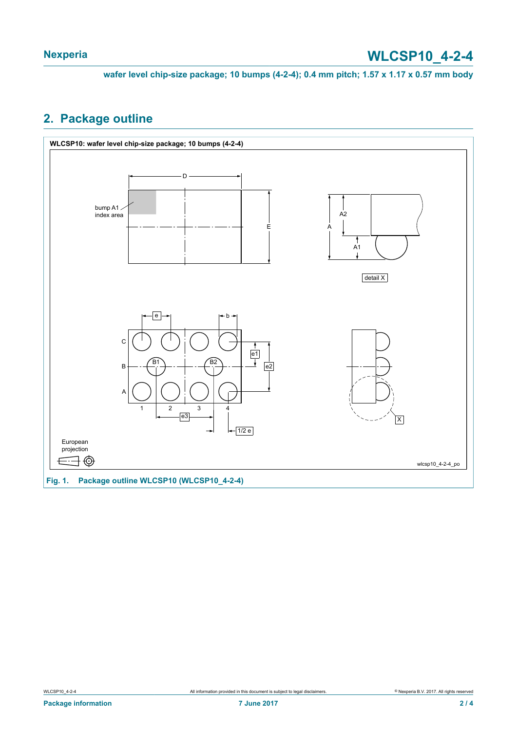**wafer level chip-size package; 10 bumps (4-2-4); 0.4 mm pitch; 1.57 x 1.17 x 0.57 mm body**

#### <span id="page-1-0"></span>**2. Package outline**

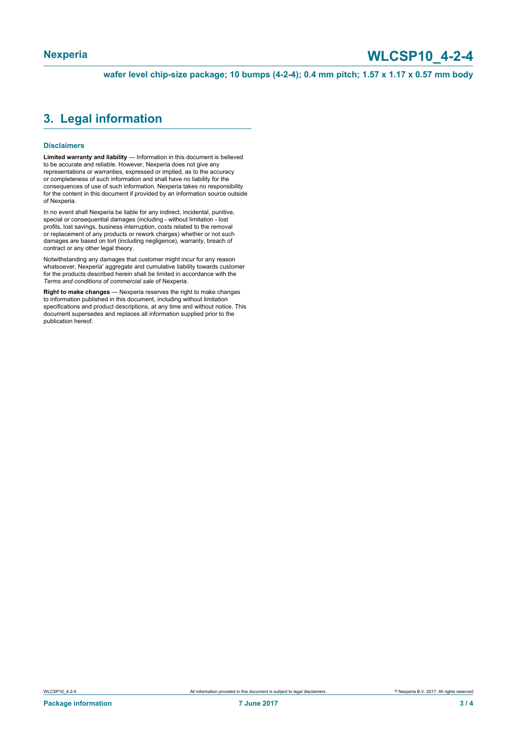## **Nexperia WLCSP10\_4-2-4**

**wafer level chip-size package; 10 bumps (4-2-4); 0.4 mm pitch; 1.57 x 1.17 x 0.57 mm body**

#### <span id="page-2-0"></span>**3. Legal information**

#### **Disclaimers**

**Limited warranty and liability** — Information in this document is believed to be accurate and reliable. However, Nexperia does not give any representations or warranties, expressed or implied, as to the accuracy or completeness of such information and shall have no liability for the consequences of use of such information. Nexperia takes no responsibility for the content in this document if provided by an information source outside of Nexperia.

In no event shall Nexperia be liable for any indirect, incidental, punitive, special or consequential damages (including - without limitation - lost profits, lost savings, business interruption, costs related to the removal or replacement of any products or rework charges) whether or not such damages are based on tort (including negligence), warranty, breach of contract or any other legal theory.

Notwithstanding any damages that customer might incur for any reason whatsoever, Nexperia' aggregate and cumulative liability towards customer for the products described herein shall be limited in accordance with the *Terms and conditions of commercial sale* of Nexperia.

**Right to make changes** — Nexperia reserves the right to make changes to information published in this document, including without limitation specifications and product descriptions, at any time and without notice. This document supersedes and replaces all information supplied prior to the publication hereof.